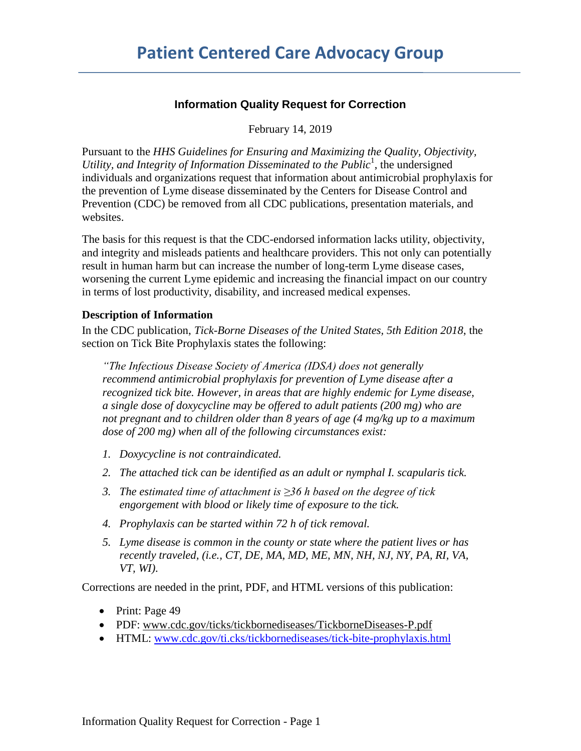## **Information Quality Request for Correction**

February 14, 2019

Pursuant to the *HHS Guidelines for Ensuring and Maximizing the Quality, Objectivity,*  Utility, and Integrity of Information Disseminated to the Public<sup>1</sup>, the undersigned individuals and organizations request that information about antimicrobial prophylaxis for the prevention of Lyme disease disseminated by the Centers for Disease Control and Prevention (CDC) be removed from all CDC publications, presentation materials, and websites.

The basis for this request is that the CDC-endorsed information lacks utility, objectivity, and integrity and misleads patients and healthcare providers. This not only can potentially result in human harm but can increase the number of long-term Lyme disease cases, worsening the current Lyme epidemic and increasing the financial impact on our country in terms of lost productivity, disability, and increased medical expenses.

### **Description of Information**

In the CDC publication, *Tick-Borne Diseases of the United States, 5th Edition 2018*, the section on Tick Bite Prophylaxis states the following:

*"The Infectious Disease Society of America (IDSA) does not generally recommend antimicrobial prophylaxis for prevention of Lyme disease after a recognized tick bite. However, in areas that are highly endemic for Lyme disease, a single dose of doxycycline may be offered to adult patients (200 mg) who are not pregnant and to children older than 8 years of age (4 mg/kg up to a maximum dose of 200 mg) when all of the following circumstances exist:*

- *1. Doxycycline is not contraindicated.*
- *2. The attached tick can be identified as an adult or nymphal I. scapularis tick.*
- *3. The estimated time of attachment is ≥36 h based on the degree of tick engorgement with blood or likely time of exposure to the tick.*
- *4. Prophylaxis can be started within 72 h of tick removal.*
- *5. Lyme disease is common in the county or state where the patient lives or has recently traveled, (i.e., CT, DE, MA, MD, ME, MN, NH, NJ, NY, PA, RI, VA, VT, WI).*

Corrections are needed in the print, PDF, and HTML versions of this publication:

- Print: Page 49
- PDF: [www.cdc.gov/ticks/tickbornediseases/TickborneDiseases-P.pdf](http://www.cdc.gov/ticks/tickbornediseases/TickborneDiseases-P.pdf)
- HTML: [www.cdc.gov/ti.cks/tickbornediseases/tick-bite-prophylaxis.html](http://www.cdc.gov/ti.cks/tickbornediseases/tick-bite-prophylaxis.html)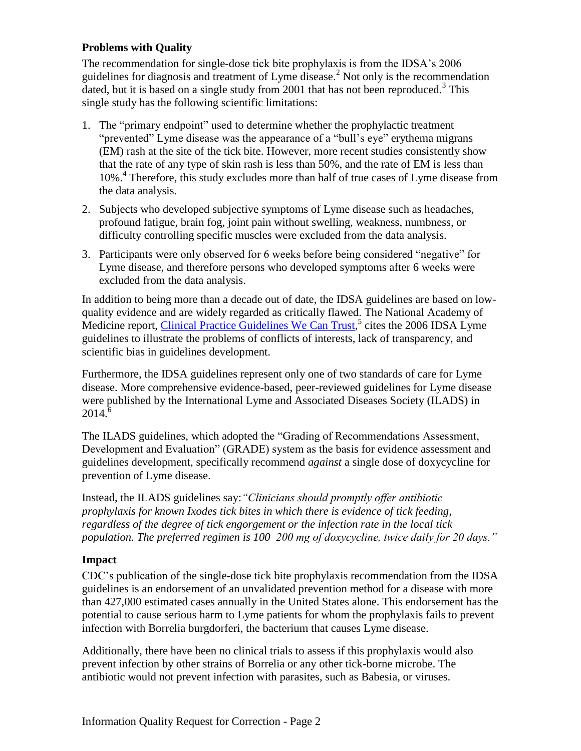## **Problems with Quality**

The recommendation for single-dose tick bite prophylaxis is from the IDSA's 2006 guidelines for diagnosis and treatment of Lyme disease. <sup>2</sup> Not only is the recommendation dated, but it is based on a single study from 2001 that has not been reproduced.<sup>3</sup> This single study has the following scientific limitations:

- 1. The "primary endpoint" used to determine whether the prophylactic treatment "prevented" Lyme disease was the appearance of a "bull's eye" erythema migrans (EM) rash at the site of the tick bite. However, more recent studies consistently show that the rate of any type of skin rash is less than 50%, and the rate of EM is less than 10%. 4 Therefore, this study excludes more than half of true cases of Lyme disease from the data analysis.
- 2. Subjects who developed subjective symptoms of Lyme disease such as headaches, profound fatigue, brain fog, joint pain without swelling, weakness, numbness, or difficulty controlling specific muscles were excluded from the data analysis.
- 3. Participants were only observed for 6 weeks before being considered "negative" for Lyme disease, and therefore persons who developed symptoms after 6 weeks were excluded from the data analysis.

In addition to being more than a decade out of date, the IDSA guidelines are based on lowquality evidence and are widely regarded as critically flawed. The National Academy of Medicine report, [Clinical Practice Guidelines We Can Trust,](http://www.nap.edu/read/13058/chapter/1)<sup>5</sup> cites the 2006 IDSA Lyme guidelines to illustrate the problems of conflicts of interests, lack of transparency, and scientific bias in guidelines development.

Furthermore, the IDSA guidelines represent only one of two standards of care for Lyme disease. More comprehensive evidence-based, peer-reviewed guidelines for Lyme disease were published by the International Lyme and Associated Diseases Society (ILADS) in  $2014.<sup>6</sup>$ 

The ILADS guidelines, which adopted the "Grading of Recommendations Assessment, Development and Evaluation" (GRADE) system as the basis for evidence assessment and guidelines development, specifically recommend *against* a single dose of doxycycline for prevention of Lyme disease.

Instead, the ILADS guidelines say:*"Clinicians should promptly offer antibiotic prophylaxis for known Ixodes tick bites in which there is evidence of tick feeding, regardless of the degree of tick engorgement or the infection rate in the local tick population. The preferred regimen is 100–200 mg of doxycycline, twice daily for 20 days."*

# **Impact**

CDC's publication of the single-dose tick bite prophylaxis recommendation from the IDSA guidelines is an endorsement of an unvalidated prevention method for a disease with more than 427,000 estimated cases annually in the United States alone. This endorsement has the potential to cause serious harm to Lyme patients for whom the prophylaxis fails to prevent infection with Borrelia burgdorferi, the bacterium that causes Lyme disease.

Additionally, there have been no clinical trials to assess if this prophylaxis would also prevent infection by other strains of Borrelia or any other tick-borne microbe. The antibiotic would not prevent infection with parasites, such as Babesia, or viruses.